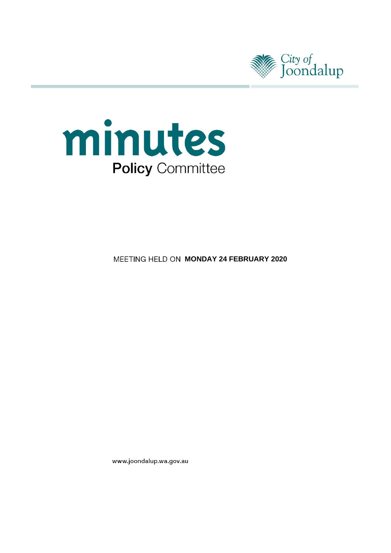



**MEETING HELD ON MONDAY 24 FEBRUARY 2020** 

www.joondalup.wa.gov.au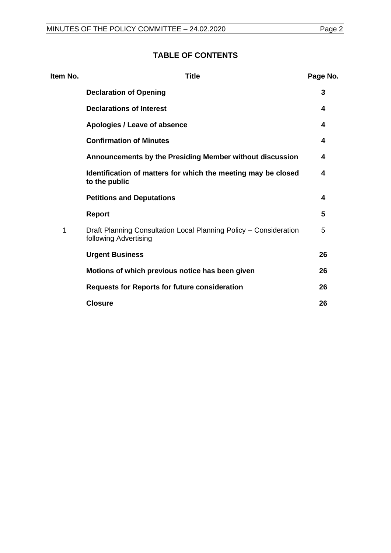## **TABLE OF CONTENTS**

| Item No. | <b>Title</b>                                                                               | Page No. |
|----------|--------------------------------------------------------------------------------------------|----------|
|          | <b>Declaration of Opening</b>                                                              | 3        |
|          | <b>Declarations of Interest</b>                                                            | 4        |
|          | Apologies / Leave of absence                                                               | 4        |
|          | <b>Confirmation of Minutes</b>                                                             | 4        |
|          | Announcements by the Presiding Member without discussion                                   | 4        |
|          | Identification of matters for which the meeting may be closed<br>to the public             | 4        |
|          | <b>Petitions and Deputations</b>                                                           | 4        |
|          | <b>Report</b>                                                                              | 5        |
| 1        | Draft Planning Consultation Local Planning Policy - Consideration<br>following Advertising | 5        |
|          | <b>Urgent Business</b>                                                                     | 26       |
|          | Motions of which previous notice has been given                                            | 26       |
|          | <b>Requests for Reports for future consideration</b>                                       | 26       |
|          | <b>Closure</b>                                                                             | 26       |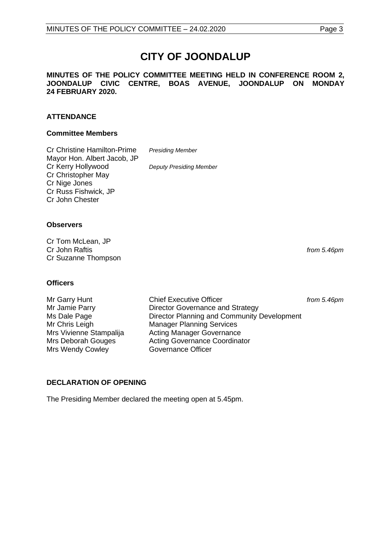# **CITY OF JOONDALUP**

#### **MINUTES OF THE POLICY COMMITTEE MEETING HELD IN CONFERENCE ROOM 2, JOONDALUP CIVIC CENTRE, BOAS AVENUE, JOONDALUP ON MONDAY 24 FEBRUARY 2020.**

## **ATTENDANCE**

## **Committee Members**

| <b>Cr Christine Hamilton-Prime</b> | <b>Presiding Member</b>        |
|------------------------------------|--------------------------------|
| Mayor Hon. Albert Jacob, JP        |                                |
| Cr Kerry Hollywood                 | <b>Deputy Presiding Member</b> |
| Cr Christopher May                 |                                |
| Cr Nige Jones                      |                                |
| Cr Russ Fishwick, JP               |                                |
| Cr John Chester                    |                                |

#### **Observers**

Cr Tom McLean, JP Cr John Raftis *from 5.46pm* Cr Suzanne Thompson

## **Officers**

Mrs Wendy Cowley **Governance Officer** 

Mr Garry Hunt **Chief Executive Officer** *from 5.46pm* Mr Jamie Parry **Director Governance and Strategy** Ms Dale Page **Director Planning and Community Development** Mr Chris Leigh Manager Planning Services Mrs Vivienne Stampalija Acting Manager Governance<br>
Mrs Deborah Gouges Acting Governance Coordina Acting Governance Coordinator

## <span id="page-2-0"></span>**DECLARATION OF OPENING**

The Presiding Member declared the meeting open at 5.45pm.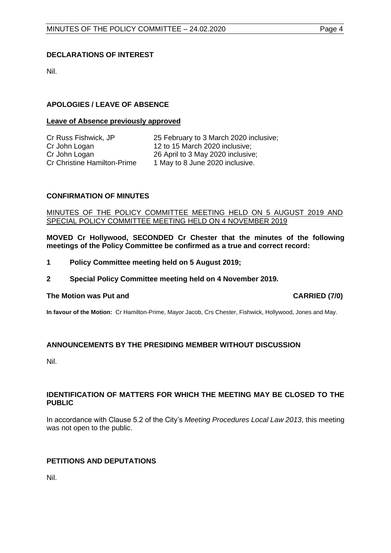## <span id="page-3-0"></span>**DECLARATIONS OF INTEREST**

Nil.

## <span id="page-3-1"></span>**APOLOGIES / LEAVE OF ABSENCE**

#### **Leave of Absence previously approved**

| Cr Russ Fishwick, JP        | 25 February to 3 March 2020 inclusive; |
|-----------------------------|----------------------------------------|
| Cr John Logan               | 12 to 15 March 2020 inclusive;         |
| Cr John Logan               | 26 April to 3 May 2020 inclusive;      |
| Cr Christine Hamilton-Prime | 1 May to 8 June 2020 inclusive.        |

## <span id="page-3-2"></span>**CONFIRMATION OF MINUTES**

#### MINUTES OF THE POLICY COMMITTEE MEETING HELD ON 5 AUGUST 2019 AND SPECIAL POLICY COMMITTEE MEETING HELD ON 4 NOVEMBER 2019

**MOVED Cr Hollywood, SECONDED Cr Chester that the minutes of the following meetings of the Policy Committee be confirmed as a true and correct record:**

- **1 Policy Committee meeting held on 5 August 2019;**
- **2 Special Policy Committee meeting held on 4 November 2019.**

## The Motion was Put and **CARRIED** (7/0)

**In favour of the Motion:** Cr Hamilton-Prime, Mayor Jacob, Crs Chester, Fishwick, Hollywood, Jones and May.

## <span id="page-3-3"></span>**ANNOUNCEMENTS BY THE PRESIDING MEMBER WITHOUT DISCUSSION**

Nil.

## <span id="page-3-4"></span>**IDENTIFICATION OF MATTERS FOR WHICH THE MEETING MAY BE CLOSED TO THE PUBLIC**

In accordance with Clause 5.2 of the City's *Meeting Procedures Local Law 2013*, this meeting was not open to the public.

## <span id="page-3-5"></span>**PETITIONS AND DEPUTATIONS**

Nil.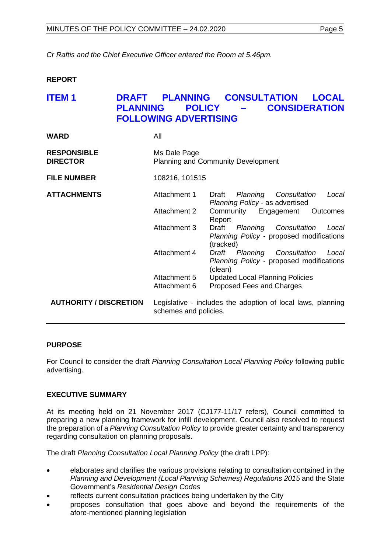*Cr Raftis and the Chief Executive Officer entered the Room at 5.46pm.*

## <span id="page-4-0"></span>**REPORT**

## <span id="page-4-1"></span>**ITEM 1 DRAFT PLANNING CONSULTATION LOCAL PLANNING POLICY – CONSIDERATION FOLLOWING ADVERTISING**

| <b>WARD</b>                           | All                   |                                                                                                  |
|---------------------------------------|-----------------------|--------------------------------------------------------------------------------------------------|
| <b>RESPONSIBLE</b><br><b>DIRECTOR</b> | Ms Dale Page          | <b>Planning and Community Development</b>                                                        |
| <b>FILE NUMBER</b>                    | 108216, 101515        |                                                                                                  |
| <b>ATTACHMENTS</b>                    | Attachment 1          | Draft<br>Planning Consultation<br>Local<br>Planning Policy - as advertised                       |
|                                       | Attachment 2          | Community Engagement<br><b>Outcomes</b><br>Report                                                |
|                                       | Attachment 3          | Draft<br>Planning Consultation<br>Local<br>Planning Policy - proposed modifications<br>(tracked) |
|                                       | Attachment 4          | Draft Planning Consultation<br>Local<br>Planning Policy - proposed modifications<br>(clean)      |
|                                       | Attachment 5          | <b>Updated Local Planning Policies</b>                                                           |
|                                       | Attachment 6          | Proposed Fees and Charges                                                                        |
| <b>AUTHORITY / DISCRETION</b>         | schemes and policies. | Legislative - includes the adoption of local laws, planning                                      |

## **PURPOSE**

For Council to consider the draft *Planning Consultation Local Planning Policy* following public advertising.

## **EXECUTIVE SUMMARY**

At its meeting held on 21 November 2017 (CJ177-11/17 refers), Council committed to preparing a new planning framework for infill development. Council also resolved to request the preparation of a *Planning Consultation Policy* to provide greater certainty and transparency regarding consultation on planning proposals.

The draft *Planning Consultation Local Planning Policy* (the draft LPP):

- elaborates and clarifies the various provisions relating to consultation contained in the *Planning and Development (Local Planning Schemes) Regulations 2015* and the State Government's *Residential Design Codes*
- reflects current consultation practices being undertaken by the City
- proposes consultation that goes above and beyond the requirements of the afore-mentioned planning legislation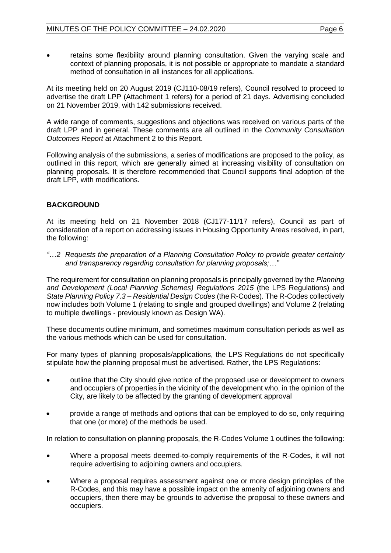• retains some flexibility around planning consultation. Given the varying scale and context of planning proposals, it is not possible or appropriate to mandate a standard method of consultation in all instances for all applications.

At its meeting held on 20 August 2019 (CJ110-08/19 refers), Council resolved to proceed to advertise the draft LPP (Attachment 1 refers) for a period of 21 days. Advertising concluded on 21 November 2019, with 142 submissions received.

A wide range of comments, suggestions and objections was received on various parts of the draft LPP and in general. These comments are all outlined in the *Community Consultation Outcomes Report* at Attachment 2 to this Report.

Following analysis of the submissions, a series of modifications are proposed to the policy, as outlined in this report, which are generally aimed at increasing visibility of consultation on planning proposals. It is therefore recommended that Council supports final adoption of the draft LPP, with modifications.

## **BACKGROUND**

At its meeting held on 21 November 2018 (CJ177-11/17 refers), Council as part of consideration of a report on addressing issues in Housing Opportunity Areas resolved, in part, the following:

*"…2 Requests the preparation of a Planning Consultation Policy to provide greater certainty and transparency regarding consultation for planning proposals;…"*

The requirement for consultation on planning proposals is principally governed by the *Planning and Development (Local Planning Schemes) Regulations 2015* (the LPS Regulations) and *State Planning Policy 7.3 – Residential Design Codes* (the R-Codes). The R-Codes collectively now includes both Volume 1 (relating to single and grouped dwellings) and Volume 2 (relating to multiple dwellings - previously known as Design WA).

These documents outline minimum, and sometimes maximum consultation periods as well as the various methods which can be used for consultation.

For many types of planning proposals/applications, the LPS Regulations do not specifically stipulate how the planning proposal must be advertised. Rather, the LPS Regulations:

- outline that the City should give notice of the proposed use or development to owners and occupiers of properties in the vicinity of the development who, in the opinion of the City, are likely to be affected by the granting of development approval
- provide a range of methods and options that can be employed to do so, only requiring that one (or more) of the methods be used.

In relation to consultation on planning proposals, the R-Codes Volume 1 outlines the following:

- Where a proposal meets deemed-to-comply requirements of the R-Codes, it will not require advertising to adjoining owners and occupiers.
- Where a proposal requires assessment against one or more design principles of the R-Codes, and this may have a possible impact on the amenity of adjoining owners and occupiers, then there may be grounds to advertise the proposal to these owners and occupiers.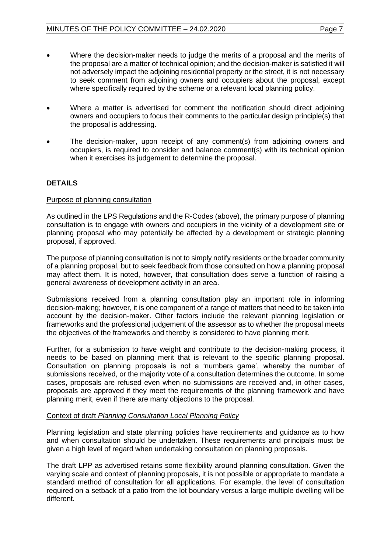- Where the decision-maker needs to judge the merits of a proposal and the merits of the proposal are a matter of technical opinion; and the decision-maker is satisfied it will not adversely impact the adjoining residential property or the street, it is not necessary to seek comment from adjoining owners and occupiers about the proposal, except where specifically required by the scheme or a relevant local planning policy.
- Where a matter is advertised for comment the notification should direct adjoining owners and occupiers to focus their comments to the particular design principle(s) that the proposal is addressing.
- The decision-maker, upon receipt of any comment(s) from adjoining owners and occupiers, is required to consider and balance comment(s) with its technical opinion when it exercises its judgement to determine the proposal.

## **DETAILS**

## Purpose of planning consultation

As outlined in the LPS Regulations and the R-Codes (above), the primary purpose of planning consultation is to engage with owners and occupiers in the vicinity of a development site or planning proposal who may potentially be affected by a development or strategic planning proposal, if approved.

The purpose of planning consultation is not to simply notify residents or the broader community of a planning proposal, but to seek feedback from those consulted on how a planning proposal may affect them. It is noted, however, that consultation does serve a function of raising a general awareness of development activity in an area.

Submissions received from a planning consultation play an important role in informing decision-making; however, it is one component of a range of matters that need to be taken into account by the decision-maker. Other factors include the relevant planning legislation or frameworks and the professional judgement of the assessor as to whether the proposal meets the objectives of the frameworks and thereby is considered to have planning merit.

Further, for a submission to have weight and contribute to the decision-making process, it needs to be based on planning merit that is relevant to the specific planning proposal. Consultation on planning proposals is not a 'numbers game', whereby the number of submissions received, or the majority vote of a consultation determines the outcome. In some cases, proposals are refused even when no submissions are received and, in other cases, proposals are approved if they meet the requirements of the planning framework and have planning merit, even if there are many objections to the proposal.

## Context of draft *Planning Consultation Local Planning Policy*

Planning legislation and state planning policies have requirements and guidance as to how and when consultation should be undertaken. These requirements and principals must be given a high level of regard when undertaking consultation on planning proposals.

The draft LPP as advertised retains some flexibility around planning consultation. Given the varying scale and context of planning proposals, it is not possible or appropriate to mandate a standard method of consultation for all applications. For example, the level of consultation required on a setback of a patio from the lot boundary versus a large multiple dwelling will be different.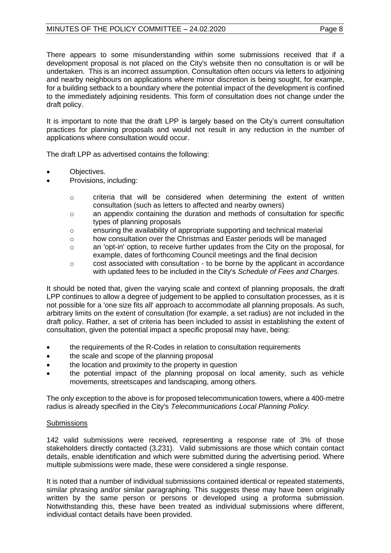## MINUTES OF THE POLICY COMMITTEE - 24.02.2020 Page 8

There appears to some misunderstanding within some submissions received that if a development proposal is not placed on the City's website then no consultation is or will be undertaken. This is an incorrect assumption. Consultation often occurs via letters to adjoining and nearby neighbours on applications where minor discretion is being sought, for example, for a building setback to a boundary where the potential impact of the development is confined to the immediately adjoining residents. This form of consultation does not change under the draft policy.

It is important to note that the draft LPP is largely based on the City's current consultation practices for planning proposals and would not result in any reduction in the number of applications where consultation would occur.

The draft LPP as advertised contains the following:

- Objectives.
- Provisions, including:
	- o criteria that will be considered when determining the extent of written consultation (such as letters to affected and nearby owners)
	- $\circ$  an appendix containing the duration and methods of consultation for specific types of planning proposals
	- o ensuring the availability of appropriate supporting and technical material
	- o how consultation over the Christmas and Easter periods will be managed
	- $\circ$  an 'opt-in' option, to receive further updates from the City on the proposal, for example, dates of forthcoming Council meetings and the final decision
	- $\circ$  cost associated with consultation to be borne by the applicant in accordance with updated fees to be included in the City's *Schedule of Fees and Charges*.

It should be noted that, given the varying scale and context of planning proposals, the draft LPP continues to allow a degree of judgement to be applied to consultation processes, as it is not possible for a 'one size fits all' approach to accommodate all planning proposals. As such, arbitrary limits on the extent of consultation (for example, a set radius) are not included in the draft policy. Rather, a set of criteria has been included to assist in establishing the extent of consultation, given the potential impact a specific proposal may have, being:

- the requirements of the R-Codes in relation to consultation requirements
- the scale and scope of the planning proposal
- the location and proximity to the property in question
- the potential impact of the planning proposal on local amenity, such as vehicle movements, streetscapes and landscaping, among others.

The only exception to the above is for proposed telecommunication towers, where a 400-metre radius is already specified in the City's *Telecommunications Local Planning Policy.*

## **Submissions**

142 valid submissions were received, representing a response rate of 3% of those stakeholders directly contacted (3,231). Valid submissions are those which contain contact details, enable identification and which were submitted during the advertising period. Where multiple submissions were made, these were considered a single response.

It is noted that a number of individual submissions contained identical or repeated statements, similar phrasing and/or similar paragraphing. This suggests these may have been originally written by the same person or persons or developed using a proforma submission. Notwithstanding this, these have been treated as individual submissions where different, individual contact details have been provided.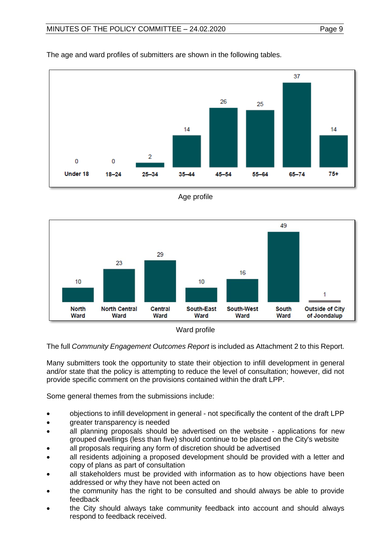

The age and ward profiles of submitters are shown in the following tables.







The full *Community Engagement Outcomes Report* is included as Attachment 2 to this Report.

Many submitters took the opportunity to state their objection to infill development in general and/or state that the policy is attempting to reduce the level of consultation; however, did not provide specific comment on the provisions contained within the draft LPP.

Some general themes from the submissions include:

- objections to infill development in general not specifically the content of the draft LPP
- greater transparency is needed
- all planning proposals should be advertised on the website applications for new grouped dwellings (less than five) should continue to be placed on the City's website
- all proposals requiring any form of discretion should be advertised
- all residents adjoining a proposed development should be provided with a letter and copy of plans as part of consultation
- all stakeholders must be provided with information as to how objections have been addressed or why they have not been acted on
- the community has the right to be consulted and should always be able to provide feedback
- the City should always take community feedback into account and should always respond to feedback received.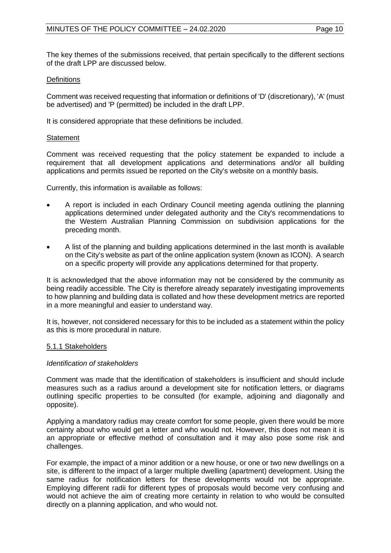The key themes of the submissions received, that pertain specifically to the different sections of the draft LPP are discussed below.

## **Definitions**

Comment was received requesting that information or definitions of 'D' (discretionary), 'A' (must be advertised) and 'P (permitted) be included in the draft LPP.

It is considered appropriate that these definitions be included.

## **Statement**

Comment was received requesting that the policy statement be expanded to include a requirement that all development applications and determinations and/or all building applications and permits issued be reported on the City's website on a monthly basis.

Currently, this information is available as follows:

- A report is included in each Ordinary Council meeting agenda outlining the planning applications determined under delegated authority and the City's recommendations to the Western Australian Planning Commission on subdivision applications for the preceding month.
- A list of the planning and building applications determined in the last month is available on the City's website as part of the online application system (known as ICON). A search on a specific property will provide any applications determined for that property.

It is acknowledged that the above information may not be considered by the community as being readily accessible. The City is therefore already separately investigating improvements to how planning and building data is collated and how these development metrics are reported in a more meaningful and easier to understand way.

It is, however, not considered necessary for this to be included as a statement within the policy as this is more procedural in nature.

## 5.1.1 Stakeholders

## *Identification of stakeholders*

Comment was made that the identification of stakeholders is insufficient and should include measures such as a radius around a development site for notification letters, or diagrams outlining specific properties to be consulted (for example, adjoining and diagonally and opposite).

Applying a mandatory radius may create comfort for some people, given there would be more certainty about who would get a letter and who would not. However, this does not mean it is an appropriate or effective method of consultation and it may also pose some risk and challenges.

For example, the impact of a minor addition or a new house, or one or two new dwellings on a site, is different to the impact of a larger multiple dwelling (apartment) development. Using the same radius for notification letters for these developments would not be appropriate. Employing different radii for different types of proposals would become very confusing and would not achieve the aim of creating more certainty in relation to who would be consulted directly on a planning application, and who would not.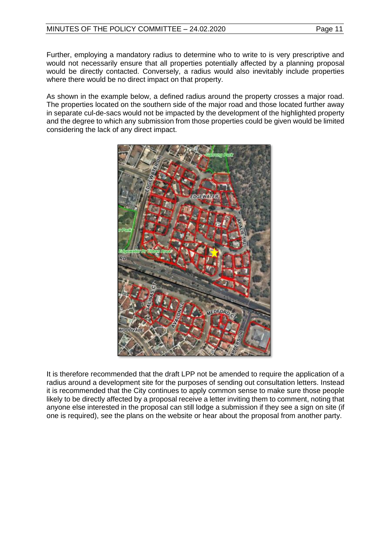Further, employing a mandatory radius to determine who to write to is very prescriptive and would not necessarily ensure that all properties potentially affected by a planning proposal would be directly contacted. Conversely, a radius would also inevitably include properties where there would be no direct impact on that property.

As shown in the example below, a defined radius around the property crosses a major road. The properties located on the southern side of the major road and those located further away in separate cul-de-sacs would not be impacted by the development of the highlighted property and the degree to which any submission from those properties could be given would be limited considering the lack of any direct impact.



It is therefore recommended that the draft LPP not be amended to require the application of a radius around a development site for the purposes of sending out consultation letters. Instead it is recommended that the City continues to apply common sense to make sure those people likely to be directly affected by a proposal receive a letter inviting them to comment, noting that anyone else interested in the proposal can still lodge a submission if they see a sign on site (if one is required), see the plans on the website or hear about the proposal from another party.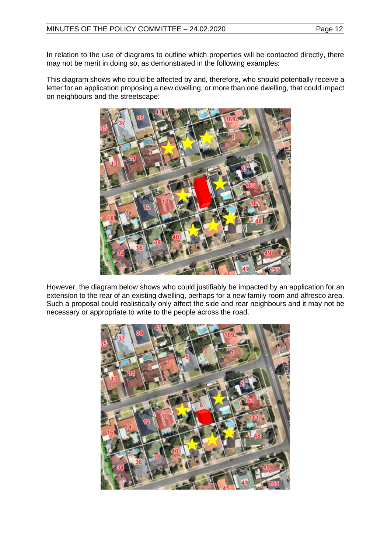In relation to the use of diagrams to outline which properties will be contacted directly, there may not be merit in doing so, as demonstrated in the following examples:

This diagram shows who could be affected by and, therefore, who should potentially receive a letter for an application proposing a new dwelling, or more than one dwelling, that could impact on neighbours and the streetscape:



However, the diagram below shows who could justifiably be impacted by an application for an extension to the rear of an existing dwelling, perhaps for a new family room and alfresco area. Such a proposal could realistically only affect the side and rear neighbours and it may not be necessary or appropriate to write to the people across the road.

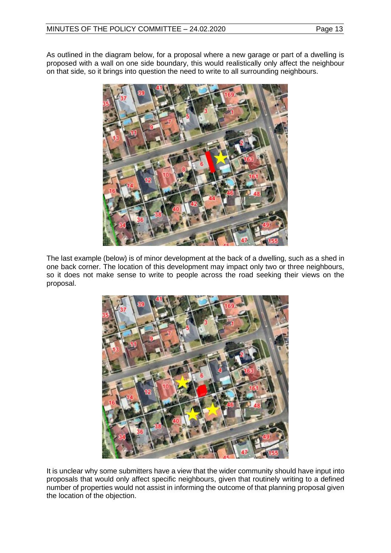As outlined in the diagram below, for a proposal where a new garage or part of a dwelling is proposed with a wall on one side boundary, this would realistically only affect the neighbour on that side, so it brings into question the need to write to all surrounding neighbours.



The last example (below) is of minor development at the back of a dwelling, such as a shed in one back corner. The location of this development may impact only two or three neighbours, so it does not make sense to write to people across the road seeking their views on the proposal.



It is unclear why some submitters have a view that the wider community should have input into proposals that would only affect specific neighbours, given that routinely writing to a defined number of properties would not assist in informing the outcome of that planning proposal given the location of the objection.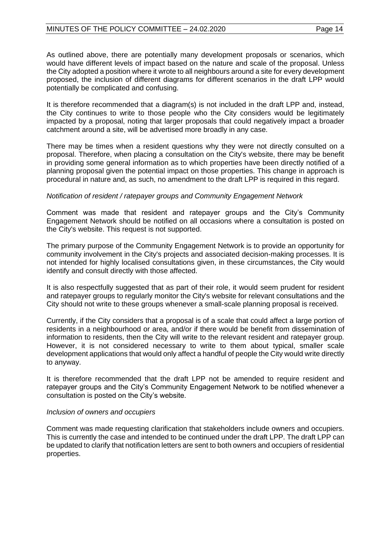As outlined above, there are potentially many development proposals or scenarios, which would have different levels of impact based on the nature and scale of the proposal. Unless the City adopted a position where it wrote to all neighbours around a site for every development proposed, the inclusion of different diagrams for different scenarios in the draft LPP would potentially be complicated and confusing.

It is therefore recommended that a diagram(s) is not included in the draft LPP and, instead, the City continues to write to those people who the City considers would be legitimately impacted by a proposal, noting that larger proposals that could negatively impact a broader catchment around a site, will be advertised more broadly in any case.

There may be times when a resident questions why they were not directly consulted on a proposal. Therefore, when placing a consultation on the City's website, there may be benefit in providing some general information as to which properties have been directly notified of a planning proposal given the potential impact on those properties. This change in approach is procedural in nature and, as such, no amendment to the draft LPP is required in this regard.

## *Notification of resident / ratepayer groups and Community Engagement Network*

Comment was made that resident and ratepayer groups and the City's Community Engagement Network should be notified on all occasions where a consultation is posted on the City's website. This request is not supported.

The primary purpose of the Community Engagement Network is to provide an opportunity for community involvement in the City's projects and associated decision-making processes. It is not intended for highly localised consultations given, in these circumstances, the City would identify and consult directly with those affected.

It is also respectfully suggested that as part of their role, it would seem prudent for resident and ratepayer groups to regularly monitor the City's website for relevant consultations and the City should not write to these groups whenever a small-scale planning proposal is received.

Currently, if the City considers that a proposal is of a scale that could affect a large portion of residents in a neighbourhood or area, and/or if there would be benefit from dissemination of information to residents, then the City will write to the relevant resident and ratepayer group. However, it is not considered necessary to write to them about typical, smaller scale development applications that would only affect a handful of people the City would write directly to anyway.

It is therefore recommended that the draft LPP not be amended to require resident and ratepayer groups and the City's Community Engagement Network to be notified whenever a consultation is posted on the City's website.

#### *Inclusion of owners and occupiers*

Comment was made requesting clarification that stakeholders include owners and occupiers. This is currently the case and intended to be continued under the draft LPP. The draft LPP can be updated to clarify that notification letters are sent to both owners and occupiers of residential properties.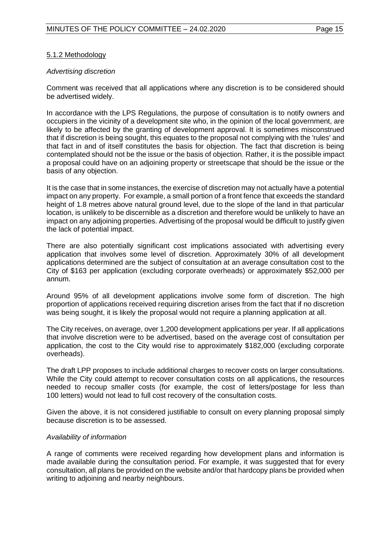## 5.1.2 Methodology

## *Advertising discretion*

Comment was received that all applications where any discretion is to be considered should be advertised widely.

In accordance with the LPS Regulations*,* the purpose of consultation is to notify owners and occupiers in the vicinity of a development site who, in the opinion of the local government, are likely to be affected by the granting of development approval. It is sometimes misconstrued that if discretion is being sought, this equates to the proposal not complying with the 'rules' and that fact in and of itself constitutes the basis for objection. The fact that discretion is being contemplated should not be the issue or the basis of objection. Rather, it is the possible impact a proposal could have on an adjoining property or streetscape that should be the issue or the basis of any objection.

It is the case that in some instances, the exercise of discretion may not actually have a potential impact on any property. For example, a small portion of a front fence that exceeds the standard height of 1.8 metres above natural ground level, due to the slope of the land in that particular location, is unlikely to be discernible as a discretion and therefore would be unlikely to have an impact on any adjoining properties. Advertising of the proposal would be difficult to justify given the lack of potential impact.

There are also potentially significant cost implications associated with advertising every application that involves some level of discretion. Approximately 30% of all development applications determined are the subject of consultation at an average consultation cost to the City of \$163 per application (excluding corporate overheads) or approximately \$52,000 per annum.

Around 95% of all development applications involve some form of discretion. The high proportion of applications received requiring discretion arises from the fact that if no discretion was being sought, it is likely the proposal would not require a planning application at all.

The City receives, on average, over 1,200 development applications per year. If all applications that involve discretion were to be advertised, based on the average cost of consultation per application, the cost to the City would rise to approximately \$182,000 (excluding corporate overheads).

The draft LPP proposes to include additional charges to recover costs on larger consultations. While the City could attempt to recover consultation costs on all applications, the resources needed to recoup smaller costs (for example, the cost of letters/postage for less than 100 letters) would not lead to full cost recovery of the consultation costs.

Given the above, it is not considered justifiable to consult on every planning proposal simply because discretion is to be assessed.

## *Availability of information*

A range of comments were received regarding how development plans and information is made available during the consultation period. For example, it was suggested that for every consultation, all plans be provided on the website and/or that hardcopy plans be provided when writing to adjoining and nearby neighbours.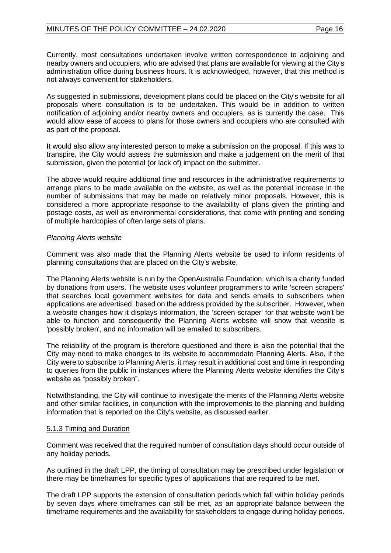Currently, most consultations undertaken involve written correspondence to adjoining and nearby owners and occupiers, who are advised that plans are available for viewing at the City's administration office during business hours. It is acknowledged, however, that this method is not always convenient for stakeholders.

As suggested in submissions, development plans could be placed on the City's website for all proposals where consultation is to be undertaken. This would be in addition to written notification of adjoining and/or nearby owners and occupiers, as is currently the case. This would allow ease of access to plans for those owners and occupiers who are consulted with as part of the proposal.

It would also allow any interested person to make a submission on the proposal. If this was to transpire, the City would assess the submission and make a judgement on the merit of that submission, given the potential (or lack of) impact on the submitter.

The above would require additional time and resources in the administrative requirements to arrange plans to be made available on the website, as well as the potential increase in the number of submissions that may be made on relatively minor proposals. However, this is considered a more appropriate response to the availability of plans given the printing and postage costs, as well as environmental considerations, that come with printing and sending of multiple hardcopies of often large sets of plans.

## *Planning Alerts website*

Comment was also made that the Planning Alerts website be used to inform residents of planning consultations that are placed on the City's website.

The Planning Alerts website is run by the OpenAustralia Foundation, which is a charity funded by donations from users. The website uses volunteer programmers to write 'screen scrapers' that searches local government websites for data and sends emails to subscribers when applications are advertised, based on the address provided by the subscriber. However, when a website changes how it displays information, the 'screen scraper' for that website won't be able to function and consequently the Planning Alerts website will show that website is 'possibly broken', and no information will be emailed to subscribers.

The reliability of the program is therefore questioned and there is also the potential that the City may need to make changes to its website to accommodate Planning Alerts. Also, if the City were to subscribe to Planning Alerts, it may result in additional cost and time in responding to queries from the public in instances where the Planning Alerts website identifies the City's website as "possibly broken".

Notwithstanding, the City will continue to investigate the merits of the Planning Alerts website and other similar facilities, in conjunction with the improvements to the planning and building information that is reported on the City's website, as discussed earlier.

## 5.1.3 Timing and Duration

Comment was received that the required number of consultation days should occur outside of any holiday periods.

As outlined in the draft LPP, the timing of consultation may be prescribed under legislation or there may be timeframes for specific types of applications that are required to be met.

The draft LPP supports the extension of consultation periods which fall within holiday periods by seven days where timeframes can still be met, as an appropriate balance between the timeframe requirements and the availability for stakeholders to engage during holiday periods.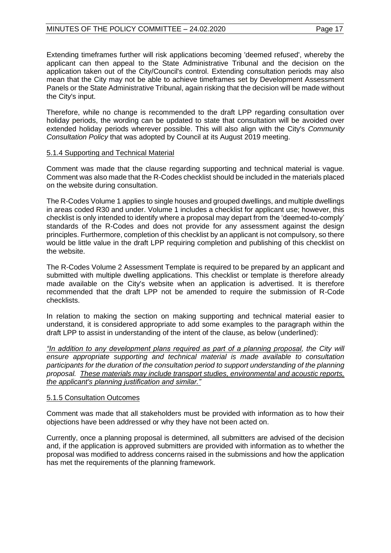Extending timeframes further will risk applications becoming 'deemed refused', whereby the applicant can then appeal to the State Administrative Tribunal and the decision on the application taken out of the City/Council's control. Extending consultation periods may also mean that the City may not be able to achieve timeframes set by Development Assessment Panels or the State Administrative Tribunal, again risking that the decision will be made without the City's input.

Therefore, while no change is recommended to the draft LPP regarding consultation over holiday periods, the wording can be updated to state that consultation will be avoided over extended holiday periods wherever possible. This will also align with the City's *Community Consultation Policy* that was adopted by Council at its August 2019 meeting.

## 5.1.4 Supporting and Technical Material

Comment was made that the clause regarding supporting and technical material is vague. Comment was also made that the R-Codes checklist should be included in the materials placed on the website during consultation.

The R-Codes Volume 1 applies to single houses and grouped dwellings, and multiple dwellings in areas coded R30 and under. Volume 1 includes a checklist for applicant use; however, this checklist is only intended to identify where a proposal may depart from the 'deemed-to-comply' standards of the R-Codes and does not provide for any assessment against the design principles. Furthermore, completion of this checklist by an applicant is not compulsory, so there would be little value in the draft LPP requiring completion and publishing of this checklist on the website.

The R-Codes Volume 2 Assessment Template is required to be prepared by an applicant and submitted with multiple dwelling applications. This checklist or template is therefore already made available on the City's website when an application is advertised. It is therefore recommended that the draft LPP not be amended to require the submission of R-Code checklists.

In relation to making the section on making supporting and technical material easier to understand, it is considered appropriate to add some examples to the paragraph within the draft LPP to assist in understanding of the intent of the clause, as below (underlined):

*"In addition to any development plans required as part of a planning proposal, the City will ensure appropriate supporting and technical material is made available to consultation participants for the duration of the consultation period to support understanding of the planning proposal. These materials may include transport studies, environmental and acoustic reports, the applicant's planning justification and similar."*

## 5.1.5 Consultation Outcomes

Comment was made that all stakeholders must be provided with information as to how their objections have been addressed or why they have not been acted on.

Currently, once a planning proposal is determined, all submitters are advised of the decision and, if the application is approved submitters are provided with information as to whether the proposal was modified to address concerns raised in the submissions and how the application has met the requirements of the planning framework.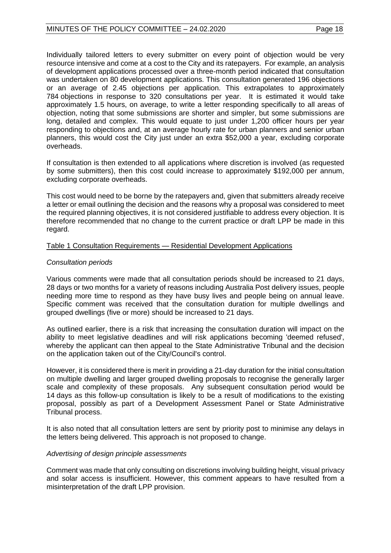Individually tailored letters to every submitter on every point of objection would be very resource intensive and come at a cost to the City and its ratepayers. For example, an analysis of development applications processed over a three-month period indicated that consultation was undertaken on 80 development applications. This consultation generated 196 objections or an average of 2.45 objections per application. This extrapolates to approximately 784 objections in response to 320 consultations per year. It is estimated it would take approximately 1.5 hours, on average, to write a letter responding specifically to all areas of objection, noting that some submissions are shorter and simpler, but some submissions are long, detailed and complex. This would equate to just under 1,200 officer hours per year responding to objections and, at an average hourly rate for urban planners and senior urban planners, this would cost the City just under an extra \$52,000 a year, excluding corporate overheads.

If consultation is then extended to all applications where discretion is involved (as requested by some submitters), then this cost could increase to approximately \$192,000 per annum, excluding corporate overheads.

This cost would need to be borne by the ratepayers and, given that submitters already receive a letter or email outlining the decision and the reasons why a proposal was considered to meet the required planning objectives, it is not considered justifiable to address every objection. It is therefore recommended that no change to the current practice or draft LPP be made in this regard.

#### Table 1 Consultation Requirements — Residential Development Applications

#### *Consultation periods*

Various comments were made that all consultation periods should be increased to 21 days, 28 days or two months for a variety of reasons including Australia Post delivery issues, people needing more time to respond as they have busy lives and people being on annual leave. Specific comment was received that the consultation duration for multiple dwellings and grouped dwellings (five or more) should be increased to 21 days.

As outlined earlier, there is a risk that increasing the consultation duration will impact on the ability to meet legislative deadlines and will risk applications becoming 'deemed refused', whereby the applicant can then appeal to the State Administrative Tribunal and the decision on the application taken out of the City/Council's control.

However, it is considered there is merit in providing a 21-day duration for the initial consultation on multiple dwelling and larger grouped dwelling proposals to recognise the generally larger scale and complexity of these proposals. Any subsequent consultation period would be 14 days as this follow-up consultation is likely to be a result of modifications to the existing proposal, possibly as part of a Development Assessment Panel or State Administrative Tribunal process.

It is also noted that all consultation letters are sent by priority post to minimise any delays in the letters being delivered. This approach is not proposed to change.

#### *Advertising of design principle assessments*

Comment was made that only consulting on discretions involving building height, visual privacy and solar access is insufficient. However, this comment appears to have resulted from a misinterpretation of the draft LPP provision.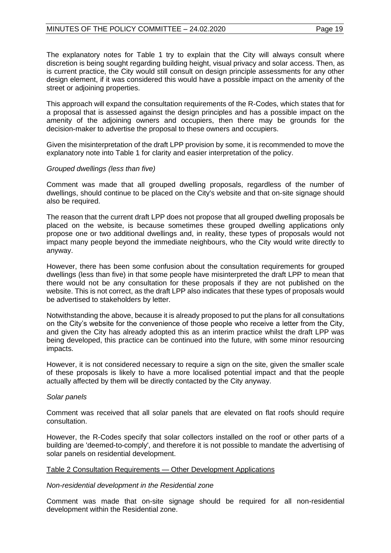The explanatory notes for Table 1 try to explain that the City will always consult where discretion is being sought regarding building height, visual privacy and solar access. Then, as is current practice, the City would still consult on design principle assessments for any other design element, if it was considered this would have a possible impact on the amenity of the street or adjoining properties.

This approach will expand the consultation requirements of the R-Codes, which states that for a proposal that is assessed against the design principles and has a possible impact on the amenity of the adjoining owners and occupiers, then there may be grounds for the decision-maker to advertise the proposal to these owners and occupiers.

Given the misinterpretation of the draft LPP provision by some, it is recommended to move the explanatory note into Table 1 for clarity and easier interpretation of the policy.

## *Grouped dwellings (less than five)*

Comment was made that all grouped dwelling proposals, regardless of the number of dwellings, should continue to be placed on the City's website and that on-site signage should also be required.

The reason that the current draft LPP does not propose that all grouped dwelling proposals be placed on the website, is because sometimes these grouped dwelling applications only propose one or two additional dwellings and, in reality, these types of proposals would not impact many people beyond the immediate neighbours, who the City would write directly to anyway.

However, there has been some confusion about the consultation requirements for grouped dwellings (less than five) in that some people have misinterpreted the draft LPP to mean that there would not be any consultation for these proposals if they are not published on the website. This is not correct, as the draft LPP also indicates that these types of proposals would be advertised to stakeholders by letter.

Notwithstanding the above, because it is already proposed to put the plans for all consultations on the City's website for the convenience of those people who receive a letter from the City, and given the City has already adopted this as an interim practice whilst the draft LPP was being developed, this practice can be continued into the future, with some minor resourcing impacts.

However, it is not considered necessary to require a sign on the site, given the smaller scale of these proposals is likely to have a more localised potential impact and that the people actually affected by them will be directly contacted by the City anyway.

## *Solar panels*

Comment was received that all solar panels that are elevated on flat roofs should require consultation.

However, the R-Codes specify that solar collectors installed on the roof or other parts of a building are 'deemed-to-comply', and therefore it is not possible to mandate the advertising of solar panels on residential development.

## Table 2 Consultation Requirements — Other Development Applications

## *Non-residential development in the Residential zone*

Comment was made that on-site signage should be required for all non-residential development within the Residential zone.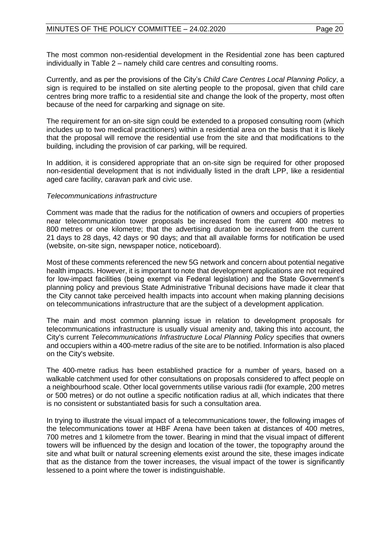The most common non-residential development in the Residential zone has been captured individually in Table 2 – namely child care centres and consulting rooms.

Currently, and as per the provisions of the City's *Child Care Centres Local Planning Policy*, a sign is required to be installed on site alerting people to the proposal, given that child care centres bring more traffic to a residential site and change the look of the property, most often because of the need for carparking and signage on site.

The requirement for an on-site sign could be extended to a proposed consulting room (which includes up to two medical practitioners) within a residential area on the basis that it is likely that the proposal will remove the residential use from the site and that modifications to the building, including the provision of car parking, will be required.

In addition, it is considered appropriate that an on-site sign be required for other proposed non-residential development that is not individually listed in the draft LPP, like a residential aged care facility, caravan park and civic use.

#### *Telecommunications infrastructure*

Comment was made that the radius for the notification of owners and occupiers of properties near telecommunication tower proposals be increased from the current 400 metres to 800 metres or one kilometre; that the advertising duration be increased from the current 21 days to 28 days, 42 days or 90 days; and that all available forms for notification be used (website, on-site sign, newspaper notice, noticeboard).

Most of these comments referenced the new 5G network and concern about potential negative health impacts. However, it is important to note that development applications are not required for low-impact facilities (being exempt via Federal legislation) and the State Government's planning policy and previous State Administrative Tribunal decisions have made it clear that the City cannot take perceived health impacts into account when making planning decisions on telecommunications infrastructure that are the subject of a development application.

The main and most common planning issue in relation to development proposals for telecommunications infrastructure is usually visual amenity and, taking this into account, the City's current *Telecommunications Infrastructure Local Planning Policy* specifies that owners and occupiers within a 400-metre radius of the site are to be notified. Information is also placed on the City's website.

The 400-metre radius has been established practice for a number of years, based on a walkable catchment used for other consultations on proposals considered to affect people on a neighbourhood scale. Other local governments utilise various radii (for example, 200 metres or 500 metres) or do not outline a specific notification radius at all, which indicates that there is no consistent or substantiated basis for such a consultation area.

In trying to illustrate the visual impact of a telecommunications tower, the following images of the telecommunications tower at HBF Arena have been taken at distances of 400 metres, 700 metres and 1 kilometre from the tower. Bearing in mind that the visual impact of different towers will be influenced by the design and location of the tower, the topography around the site and what built or natural screening elements exist around the site, these images indicate that as the distance from the tower increases, the visual impact of the tower is significantly lessened to a point where the tower is indistinguishable.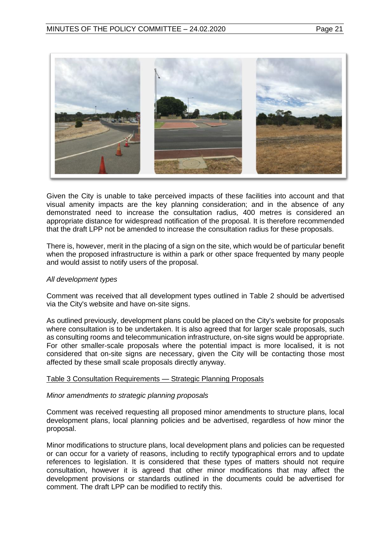

Given the City is unable to take perceived impacts of these facilities into account and that visual amenity impacts are the key planning consideration; and in the absence of any demonstrated need to increase the consultation radius, 400 metres is considered an appropriate distance for widespread notification of the proposal. It is therefore recommended that the draft LPP not be amended to increase the consultation radius for these proposals.

There is, however, merit in the placing of a sign on the site, which would be of particular benefit when the proposed infrastructure is within a park or other space frequented by many people and would assist to notify users of the proposal.

#### *All development types*

Comment was received that all development types outlined in Table 2 should be advertised via the City's website and have on-site signs.

As outlined previously, development plans could be placed on the City's website for proposals where consultation is to be undertaken. It is also agreed that for larger scale proposals, such as consulting rooms and telecommunication infrastructure, on-site signs would be appropriate. For other smaller-scale proposals where the potential impact is more localised, it is not considered that on-site signs are necessary, given the City will be contacting those most affected by these small scale proposals directly anyway.

#### Table 3 Consultation Requirements — Strategic Planning Proposals

#### *Minor amendments to strategic planning proposals*

Comment was received requesting all proposed minor amendments to structure plans, local development plans, local planning policies and be advertised, regardless of how minor the proposal.

Minor modifications to structure plans, local development plans and policies can be requested or can occur for a variety of reasons, including to rectify typographical errors and to update references to legislation. It is considered that these types of matters should not require consultation, however it is agreed that other minor modifications that may affect the development provisions or standards outlined in the documents could be advertised for comment. The draft LPP can be modified to rectify this.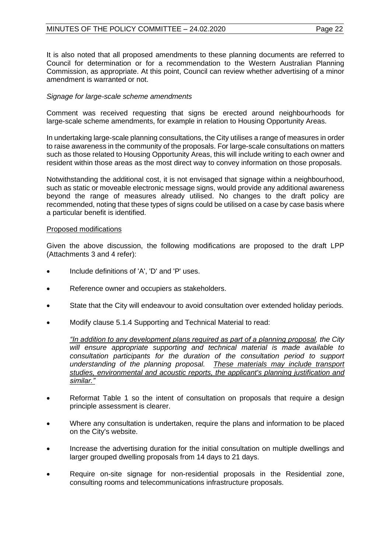It is also noted that all proposed amendments to these planning documents are referred to Council for determination or for a recommendation to the Western Australian Planning Commission, as appropriate. At this point, Council can review whether advertising of a minor amendment is warranted or not.

## *Signage for large-scale scheme amendments*

Comment was received requesting that signs be erected around neighbourhoods for large-scale scheme amendments, for example in relation to Housing Opportunity Areas.

In undertaking large-scale planning consultations, the City utilises a range of measures in order to raise awareness in the community of the proposals. For large-scale consultations on matters such as those related to Housing Opportunity Areas, this will include writing to each owner and resident within those areas as the most direct way to convey information on those proposals.

Notwithstanding the additional cost, it is not envisaged that signage within a neighbourhood, such as static or moveable electronic message signs, would provide any additional awareness beyond the range of measures already utilised. No changes to the draft policy are recommended, noting that these types of signs could be utilised on a case by case basis where a particular benefit is identified.

## Proposed modifications

Given the above discussion, the following modifications are proposed to the draft LPP (Attachments 3 and 4 refer):

- Include definitions of 'A', 'D' and 'P' uses.
- Reference owner and occupiers as stakeholders.
- State that the City will endeavour to avoid consultation over extended holiday periods.
- Modify clause 5.1.4 Supporting and Technical Material to read:

*"In addition to any development plans required as part of a planning proposal, the City will ensure appropriate supporting and technical material is made available to consultation participants for the duration of the consultation period to support understanding of the planning proposal. These materials may include transport studies, environmental and acoustic reports, the applicant's planning justification and similar."*

- Reformat Table 1 so the intent of consultation on proposals that require a design principle assessment is clearer.
- Where any consultation is undertaken, require the plans and information to be placed on the City's website.
- Increase the advertising duration for the initial consultation on multiple dwellings and larger grouped dwelling proposals from 14 days to 21 days.
- Require on-site signage for non-residential proposals in the Residential zone, consulting rooms and telecommunications infrastructure proposals.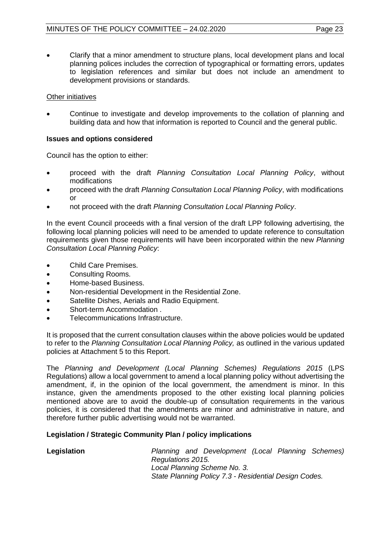• Clarify that a minor amendment to structure plans, local development plans and local planning polices includes the correction of typographical or formatting errors, updates to legislation references and similar but does not include an amendment to development provisions or standards.

## Other initiatives

• Continue to investigate and develop improvements to the collation of planning and building data and how that information is reported to Council and the general public.

## **Issues and options considered**

Council has the option to either:

- proceed with the draft *Planning Consultation Local Planning Policy*, without modifications
- proceed with the draft *Planning Consultation Local Planning Policy*, with modifications or
- not proceed with the draft *Planning Consultation Local Planning Policy*.

In the event Council proceeds with a final version of the draft LPP following advertising, the following local planning policies will need to be amended to update reference to consultation requirements given those requirements will have been incorporated within the new *Planning Consultation Local Planning Policy*:

- Child Care Premises.
- Consulting Rooms.
- Home-based Business.
- Non-residential Development in the Residential Zone.
- Satellite Dishes, Aerials and Radio Equipment.
- Short-term Accommodation .
- Telecommunications Infrastructure.

It is proposed that the current consultation clauses within the above policies would be updated to refer to the *Planning Consultation Local Planning Policy,* as outlined in the various updated policies at Attachment 5 to this Report.

The *Planning and Development (Local Planning Schemes) Regulations 2015* (LPS Regulations) allow a local government to amend a local planning policy without advertising the amendment, if, in the opinion of the local government, the amendment is minor. In this instance, given the amendments proposed to the other existing local planning policies mentioned above are to avoid the double-up of consultation requirements in the various policies, it is considered that the amendments are minor and administrative in nature, and therefore further public advertising would not be warranted.

## **Legislation / Strategic Community Plan / policy implications**

**Legislation** *Planning and Development (Local Planning Schemes) Regulations 2015. Local Planning Scheme No. 3. State Planning Policy 7.3 - Residential Design Codes.*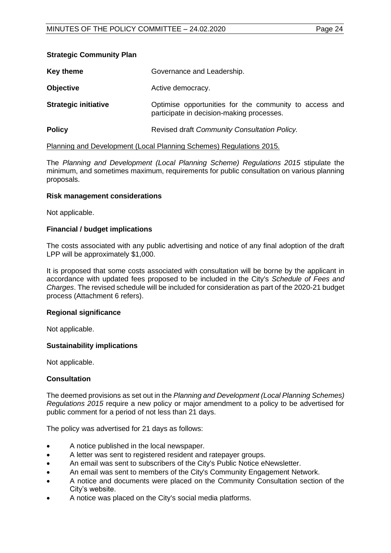## **Strategic Community Plan**

| Key theme                   | Governance and Leadership.                                                                          |
|-----------------------------|-----------------------------------------------------------------------------------------------------|
| <b>Objective</b>            | Active democracy.                                                                                   |
| <b>Strategic initiative</b> | Optimise opportunities for the community to access and<br>participate in decision-making processes. |
| <b>Policy</b>               | Revised draft Community Consultation Policy.                                                        |

## Planning and Development (Local Planning Schemes) Regulations 2015.

The *Planning and Development (Local Planning Scheme) Regulations 2015* stipulate the minimum, and sometimes maximum, requirements for public consultation on various planning proposals.

#### **Risk management considerations**

Not applicable.

#### **Financial / budget implications**

The costs associated with any public advertising and notice of any final adoption of the draft LPP will be approximately \$1,000.

It is proposed that some costs associated with consultation will be borne by the applicant in accordance with updated fees proposed to be included in the City's *Schedule of Fees and Charges*. The revised schedule will be included for consideration as part of the 2020-21 budget process (Attachment 6 refers).

#### **Regional significance**

Not applicable.

#### **Sustainability implications**

Not applicable.

## **Consultation**

The deemed provisions as set out in the *Planning and Development (Local Planning Schemes) Regulations 2015* require a new policy or major amendment to a policy to be advertised for public comment for a period of not less than 21 days.

The policy was advertised for 21 days as follows:

- A notice published in the local newspaper.
- A letter was sent to registered resident and ratepayer groups.
- An email was sent to subscribers of the City's Public Notice eNewsletter.
- An email was sent to members of the City's Community Engagement Network.
- A notice and documents were placed on the Community Consultation section of the City's website.
- A notice was placed on the City's social media platforms.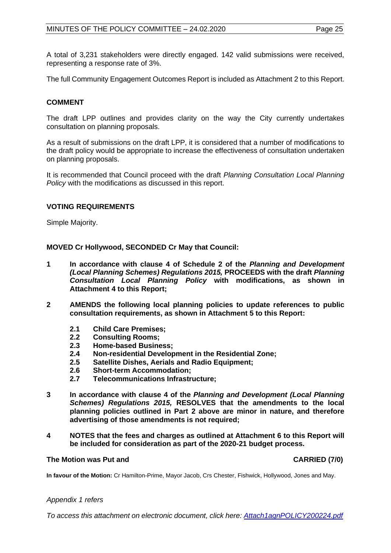A total of 3,231 stakeholders were directly engaged. 142 valid submissions were received, representing a response rate of 3%.

The full Community Engagement Outcomes Report is included as Attachment 2 to this Report.

## **COMMENT**

The draft LPP outlines and provides clarity on the way the City currently undertakes consultation on planning proposals.

As a result of submissions on the draft LPP, it is considered that a number of modifications to the draft policy would be appropriate to increase the effectiveness of consultation undertaken on planning proposals.

It is recommended that Council proceed with the draft *Planning Consultation Local Planning Policy* with the modifications as discussed in this report.

## **VOTING REQUIREMENTS**

Simple Majority.

**MOVED Cr Hollywood, SECONDED Cr May that Council:**

- **1 In accordance with clause 4 of Schedule 2 of the** *Planning and Development (Local Planning Schemes) Regulations 2015,* **PROCEEDS with the draft** *Planning Consultation Local Planning Policy* **with modifications, as shown in Attachment 4 to this Report;**
- **2 AMENDS the following local planning policies to update references to public consultation requirements, as shown in Attachment 5 to this Report:**
	- **2.1 Child Care Premises;**
	- **2.2 Consulting Rooms;**
	- **2.3 Home-based Business;**
	- **2.4 Non-residential Development in the Residential Zone;**
	- **2.5 Satellite Dishes, Aerials and Radio Equipment;**
	- **2.6 Short-term Accommodation;**
	- **2.7 Telecommunications Infrastructure;**
- **3 In accordance with clause 4 of the** *Planning and Development (Local Planning Schemes) Regulations 2015,* **RESOLVES that the amendments to the local planning policies outlined in Part 2 above are minor in nature, and therefore advertising of those amendments is not required;**
- **4 NOTES that the fees and charges as outlined at Attachment 6 to this Report will be included for consideration as part of the 2020-21 budget process.**

#### **The Motion was Put and CARRIED (7/0)**

**In favour of the Motion:** Cr Hamilton-Prime, Mayor Jacob, Crs Chester, Fishwick, Hollywood, Jones and May.

#### *Appendix 1 refers*

*To access this attachment on electronic document, click here[: Attach1agnPOLICY200224.pdf](http://www.joondalup.wa.gov.au/files/committees/POLI/2020/Attach1agnPOLICY200224.pdf)*